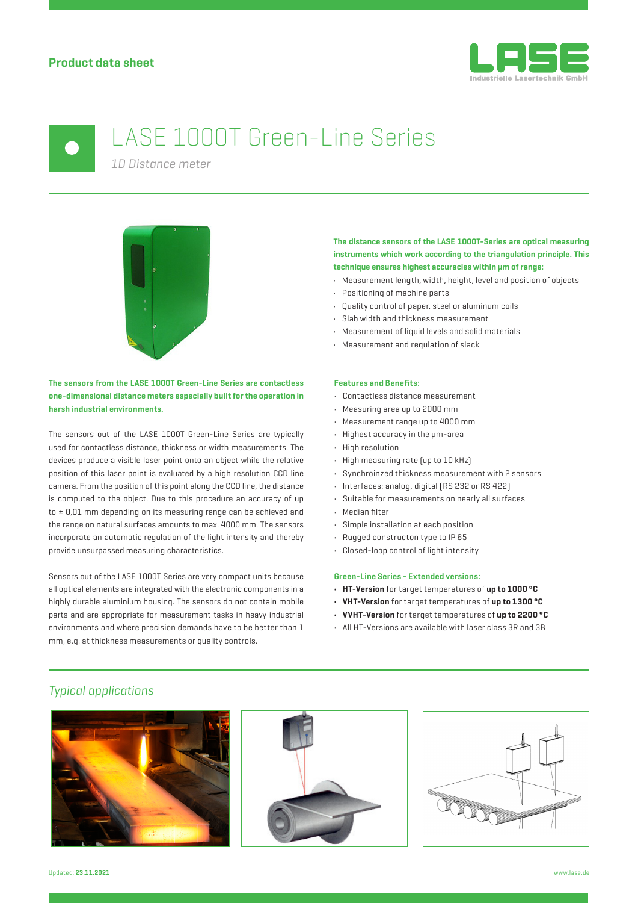

# LASE 1000T Green-Line Series

*1D Distance meter*



**The sensors from the LASE 1000T Green-Line Series are contactless one-dimensional distance meters especially built for the operation in harsh industrial environments.**

The sensors out of the LASE 1000T Green-Line Series are typically used for contactless distance, thickness or width measurements. The devices produce a visible laser point onto an object while the relative position of this laser point is evaluated by a high resolution CCD line camera. From the position of this point along the CCD line, the distance is computed to the object. Due to this procedure an accuracy of up to ± 0,01 mm depending on its measuring range can be achieved and the range on natural surfaces amounts to max. 4000 mm. The sensors incorporate an automatic regulation of the light intensity and thereby provide unsurpassed measuring characteristics.

Sensors out of the LASE 1000T Series are very compact units because all optical elements are integrated with the electronic components in a highly durable aluminium housing. The sensors do not contain mobile parts and are appropriate for measurement tasks in heavy industrial environments and where precision demands have to be better than 1 mm, e.g. at thickness measurements or quality controls.

# **The distance sensors of the LASE 1000T-Series are optical measuring instruments which work according to the triangulation principle. This technique ensures highest accuracies within μm of range:**

- Measurement length, width, height, level and position of objects
- Positioning of machine parts
- Quality control of paper, steel or aluminum coils
- Slab width and thickness measurement
- Measurement of liquid levels and solid materials
- Measurement and regulation of slack

### **Features and Benefits:**

- Contactless distance measurement
- Measuring area up to 2000 mm
- Measurement range up to 4000 mm
- Highest accuracy in the μm-area
- High resolution
- High measuring rate (up to 10 kHz)
- Synchroinzed thickness measurement with 2 sensors
- Interfaces: analog, digital (RS 232 or RS 422)
- Suitable for measurements on nearly all surfaces
- Median filter
- Simple installation at each position
- Rugged constructon type to IP 65
- Closed-loop control of light intensity

## **Green-Line Series - Extended versions:**

- **HT-Version** for target temperatures of **up to 1000 °C**
- **VHT-Version** for target temperatures of **up to 1300 °C**
- **VVHT-Version** for target temperatures of **up to 2200 °C**
- All HT-Versions are available with laser class 3R and 3B

# *Typical applications*